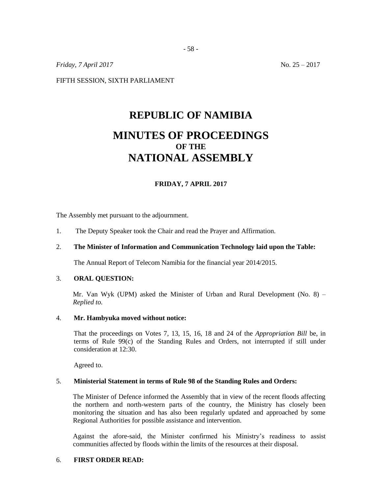*Friday, 7 April 2017* No. 25 – 2017

FIFTH SESSION, SIXTH PARLIAMENT

# **REPUBLIC OF NAMIBIA MINUTES OF PROCEEDINGS OF THE NATIONAL ASSEMBLY**

# **FRIDAY, 7 APRIL 2017**

The Assembly met pursuant to the adjournment.

1. The Deputy Speaker took the Chair and read the Prayer and Affirmation.

# 2. **The Minister of Information and Communication Technology laid upon the Table:**

The Annual Report of Telecom Namibia for the financial year 2014/2015.

## 3. **ORAL QUESTION:**

Mr. Van Wyk (UPM) asked the Minister of Urban and Rural Development (No. 8) – *Replied to.*

#### 4. **Mr. Hambyuka moved without notice:**

That the proceedings on Votes 7, 13, 15, 16, 18 and 24 of the *Appropriation Bill* be, in terms of Rule 99(c) of the Standing Rules and Orders, not interrupted if still under consideration at 12:30.

Agreed to.

## 5. **Ministerial Statement in terms of Rule 98 of the Standing Rules and Orders:**

The Minister of Defence informed the Assembly that in view of the recent floods affecting the northern and north-western parts of the country, the Ministry has closely been monitoring the situation and has also been regularly updated and approached by some Regional Authorities for possible assistance and intervention.

Against the afore-said, the Minister confirmed his Ministry's readiness to assist communities affected by floods within the limits of the resources at their disposal.

# 6. **FIRST ORDER READ:**